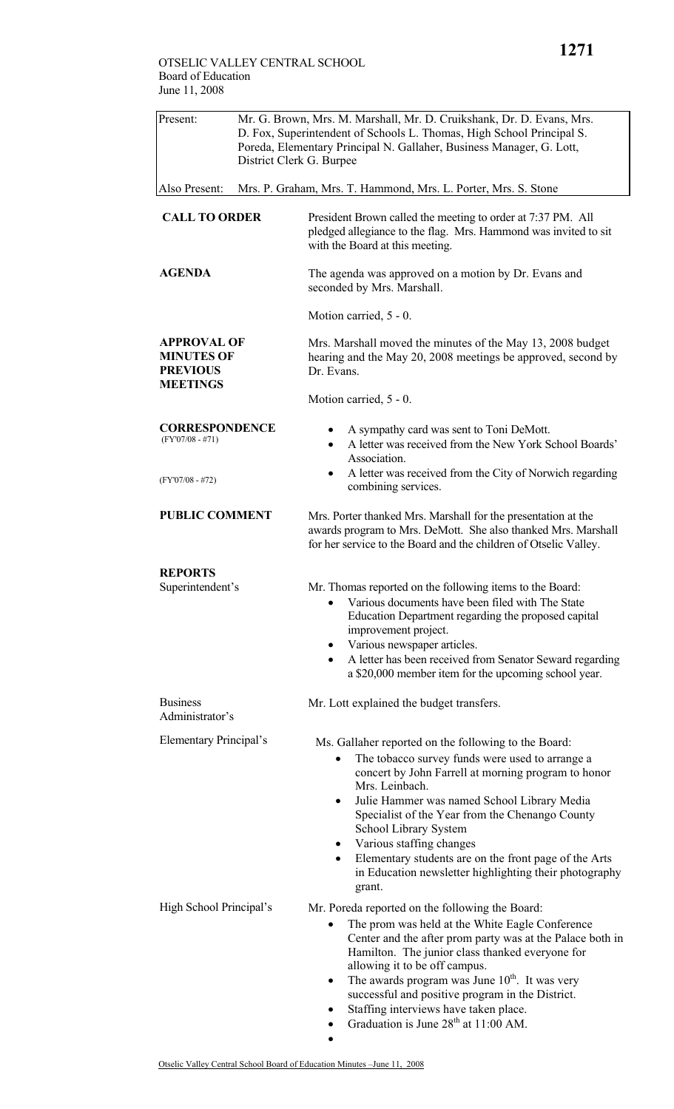| Present:                                                                      | Mr. G. Brown, Mrs. M. Marshall, Mr. D. Cruikshank, Dr. D. Evans, Mrs.<br>D. Fox, Superintendent of Schools L. Thomas, High School Principal S.<br>Poreda, Elementary Principal N. Gallaher, Business Manager, G. Lott,<br>District Clerk G. Burpee |                                                                                                                                                                                                                                                                                                                                                                                                                                                                                            |
|-------------------------------------------------------------------------------|----------------------------------------------------------------------------------------------------------------------------------------------------------------------------------------------------------------------------------------------------|--------------------------------------------------------------------------------------------------------------------------------------------------------------------------------------------------------------------------------------------------------------------------------------------------------------------------------------------------------------------------------------------------------------------------------------------------------------------------------------------|
| Also Present:                                                                 | Mrs. P. Graham, Mrs. T. Hammond, Mrs. L. Porter, Mrs. S. Stone                                                                                                                                                                                     |                                                                                                                                                                                                                                                                                                                                                                                                                                                                                            |
| <b>CALL TO ORDER</b>                                                          |                                                                                                                                                                                                                                                    | President Brown called the meeting to order at 7:37 PM. All<br>pledged allegiance to the flag. Mrs. Hammond was invited to sit<br>with the Board at this meeting.                                                                                                                                                                                                                                                                                                                          |
| <b>AGENDA</b>                                                                 |                                                                                                                                                                                                                                                    | The agenda was approved on a motion by Dr. Evans and<br>seconded by Mrs. Marshall.                                                                                                                                                                                                                                                                                                                                                                                                         |
|                                                                               |                                                                                                                                                                                                                                                    | Motion carried, 5 - 0.                                                                                                                                                                                                                                                                                                                                                                                                                                                                     |
| <b>APPROVAL OF</b><br><b>MINUTES OF</b><br><b>PREVIOUS</b><br><b>MEETINGS</b> |                                                                                                                                                                                                                                                    | Mrs. Marshall moved the minutes of the May 13, 2008 budget<br>hearing and the May 20, 2008 meetings be approved, second by<br>Dr. Evans.                                                                                                                                                                                                                                                                                                                                                   |
|                                                                               |                                                                                                                                                                                                                                                    | Motion carried, 5 - 0.                                                                                                                                                                                                                                                                                                                                                                                                                                                                     |
| <b>CORRESPONDENCE</b><br>$(FY'07/08 - #71)$                                   |                                                                                                                                                                                                                                                    | A sympathy card was sent to Toni DeMott.<br>$\bullet$<br>A letter was received from the New York School Boards'<br>$\bullet$<br>Association.                                                                                                                                                                                                                                                                                                                                               |
| $(FY'07/08 - #72)$                                                            |                                                                                                                                                                                                                                                    | A letter was received from the City of Norwich regarding<br>٠<br>combining services.                                                                                                                                                                                                                                                                                                                                                                                                       |
| <b>PUBLIC COMMENT</b>                                                         |                                                                                                                                                                                                                                                    | Mrs. Porter thanked Mrs. Marshall for the presentation at the<br>awards program to Mrs. DeMott. She also thanked Mrs. Marshall<br>for her service to the Board and the children of Otselic Valley.                                                                                                                                                                                                                                                                                         |
| <b>REPORTS</b><br>Superintendent's                                            |                                                                                                                                                                                                                                                    | Mr. Thomas reported on the following items to the Board:<br>Various documents have been filed with The State<br>$\bullet$<br>Education Department regarding the proposed capital<br>improvement project.<br>Various newspaper articles.<br>A letter has been received from Senator Seward regarding<br>a \$20,000 member item for the upcoming school year.                                                                                                                                |
| <b>Business</b><br>Administrator's                                            |                                                                                                                                                                                                                                                    | Mr. Lott explained the budget transfers.                                                                                                                                                                                                                                                                                                                                                                                                                                                   |
| <b>Elementary Principal's</b>                                                 |                                                                                                                                                                                                                                                    | Ms. Gallaher reported on the following to the Board:<br>The tobacco survey funds were used to arrange a<br>concert by John Farrell at morning program to honor<br>Mrs. Leinbach.<br>Julie Hammer was named School Library Media<br>٠<br>Specialist of the Year from the Chenango County<br>School Library System<br>Various staffing changes<br>Elementary students are on the front page of the Arts<br>in Education newsletter highlighting their photography<br>grant.                  |
| High School Principal's                                                       |                                                                                                                                                                                                                                                    | Mr. Poreda reported on the following the Board:<br>The prom was held at the White Eagle Conference<br>Center and the after prom party was at the Palace both in<br>Hamilton. The junior class thanked everyone for<br>allowing it to be off campus.<br>The awards program was June $10^{th}$ . It was very<br>$\bullet$<br>successful and positive program in the District.<br>Staffing interviews have taken place.<br>٠<br>Graduation is June 28 <sup>th</sup> at 11:00 AM.<br>$\bullet$ |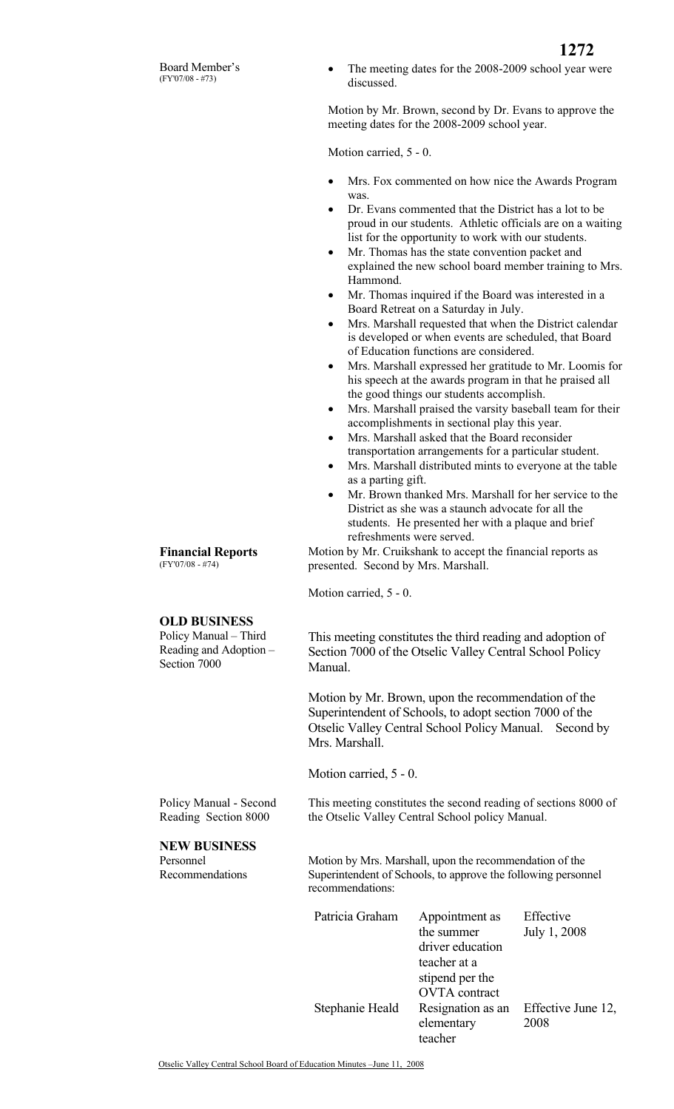• The meeting dates for the 2008-2009 school year were discussed.

Motion by Mr. Brown, second by Dr. Evans to approve the meeting dates for the 2008-2009 school year.

Motion carried, 5 - 0.

- Mrs. Fox commented on how nice the Awards Program was.
- Dr. Evans commented that the District has a lot to be proud in our students. Athletic officials are on a waiting list for the opportunity to work with our students.
- Mr. Thomas has the state convention packet and explained the new school board member training to Mrs. Hammond.
- Mr. Thomas inquired if the Board was interested in a Board Retreat on a Saturday in July.
- Mrs. Marshall requested that when the District calendar is developed or when events are scheduled, that Board of Education functions are considered.
- Mrs. Marshall expressed her gratitude to Mr. Loomis for his speech at the awards program in that he praised all the good things our students accomplish.
- Mrs. Marshall praised the varsity baseball team for their accomplishments in sectional play this year.
- Mrs. Marshall asked that the Board reconsider transportation arrangements for a particular student.
- Mrs. Marshall distributed mints to everyone at the table as a parting gift.
- Mr. Brown thanked Mrs. Marshall for her service to the District as she was a staunch advocate for all the students. He presented her with a plaque and brief refreshments were served.

 Motion by Mr. Cruikshank to accept the financial reports as presented. Second by Mrs. Marshall.

Motion carried, 5 - 0.

### **OLD BUSINESS**

Section 7000

This meeting constitutes the third reading and adoption of Section 7000 of the Otselic Valley Central School Policy Manual.

Motion by Mr. Brown, upon the recommendation of the Superintendent of Schools, to adopt section 7000 of the Otselic Valley Central School Policy Manual. Second by Mrs. Marshall.

Motion carried, 5 - 0.

Policy Manual - Second Reading Section 8000 This meeting constitutes the second reading of sections 8000 of the Otselic Valley Central School policy Manual.

### **NEW BUSINESS**

Personnel Recommendations  Motion by Mrs. Marshall, upon the recommendation of the Superintendent of Schools, to approve the following personnel recommendations:

| Patricia Graham | Appointment as<br>the summer<br>driver education<br>teacher at a<br>stipend per the<br><b>OVTA</b> contract | Effective<br>July 1, 2008  |
|-----------------|-------------------------------------------------------------------------------------------------------------|----------------------------|
| Stephanie Heald | Resignation as an<br>elementary<br>teacher                                                                  | Effective June 12,<br>2008 |

**Financial Reports**  (FY'07/08 - #74)

Policy Manual – Third Reading and Adoption –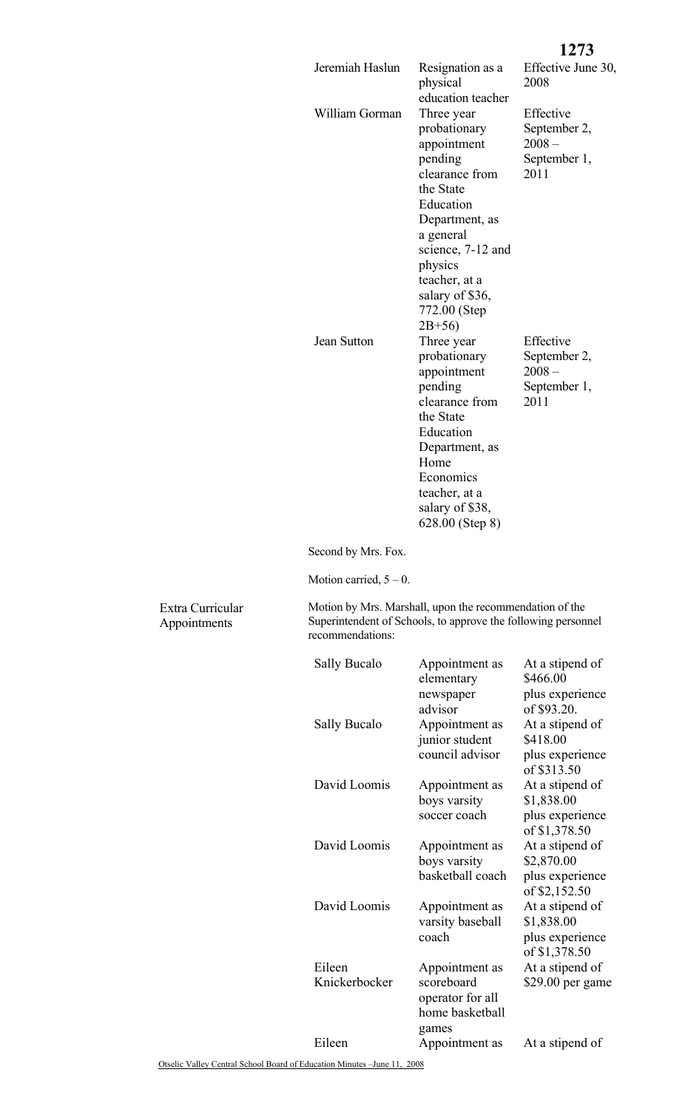# **1273**

|                                                                                                                                              |                                                                                                                                                                                                                                                                                                                                                                                                    | 1 <i>2 I J</i>                                                                                    |
|----------------------------------------------------------------------------------------------------------------------------------------------|----------------------------------------------------------------------------------------------------------------------------------------------------------------------------------------------------------------------------------------------------------------------------------------------------------------------------------------------------------------------------------------------------|---------------------------------------------------------------------------------------------------|
| Jeremiah Haslun<br>William Gorman                                                                                                            | Resignation as a<br>physical<br>education teacher<br>Three year<br>probationary                                                                                                                                                                                                                                                                                                                    | Effective June 30,<br>2008<br>Effective<br>September 2,                                           |
| Jean Sutton                                                                                                                                  | appointment<br>pending<br>clearance from<br>the State<br>Education<br>Department, as<br>a general<br>science, 7-12 and<br>physics<br>teacher, at a<br>salary of \$36,<br>772.00 (Step<br>$2B+56$<br>Three year<br>probationary<br>appointment<br>pending<br>clearance from<br>the State<br>Education<br>Department, as<br>Home<br>Economics<br>teacher, at a<br>salary of \$38,<br>628.00 (Step 8) | $2008 -$<br>September 1,<br>2011<br>Effective<br>September 2,<br>$2008 -$<br>September 1,<br>2011 |
| Second by Mrs. Fox.                                                                                                                          |                                                                                                                                                                                                                                                                                                                                                                                                    |                                                                                                   |
| Motion carried, $5 - 0$ .                                                                                                                    |                                                                                                                                                                                                                                                                                                                                                                                                    |                                                                                                   |
| Motion by Mrs. Marshall, upon the recommendation of the<br>Superintendent of Schools, to approve the following personnel<br>recommendations: |                                                                                                                                                                                                                                                                                                                                                                                                    |                                                                                                   |
| Sally Bucalo                                                                                                                                 | Appointment as<br>elementary<br>newspaper<br>advisor                                                                                                                                                                                                                                                                                                                                               | At a stipend of<br>\$466.00<br>plus experience<br>of \$93.20.                                     |
| Sally Bucalo                                                                                                                                 | Appointment as<br>junior student                                                                                                                                                                                                                                                                                                                                                                   | At a stipend of<br>\$418.00                                                                       |

Extra Curricular Appointments

| Sally Bucalo            | Appointment as<br>elementary<br>newspaper<br>advisor                         | At a stipend of<br>\$466.00<br>plus experience<br>of \$93.20.     |
|-------------------------|------------------------------------------------------------------------------|-------------------------------------------------------------------|
| Sally Bucalo            | Appointment as<br>junior student<br>council advisor                          | At a stipend of<br>\$418.00<br>plus experience<br>of \$313.50     |
| David Loomis            | Appointment as<br>boys varsity<br>soccer coach                               | At a stipend of<br>\$1,838.00<br>plus experience<br>of \$1,378.50 |
| David Loomis            | Appointment as<br>boys varsity<br>basketball coach                           | At a stipend of<br>\$2,870.00<br>plus experience<br>of \$2,152.50 |
| David Loomis            | Appointment as<br>varsity baseball<br>coach                                  | At a stipend of<br>\$1,838.00<br>plus experience<br>of \$1,378.50 |
| Eileen<br>Knickerbocker | Appointment as<br>scoreboard<br>operator for all<br>home basketball<br>games | At a stipend of<br>$$29.00$ per game                              |
| Eileen                  | Appointment as                                                               | At a stipend of                                                   |
|                         |                                                                              |                                                                   |

Otselic Valley Central School Board of Education Minutes –June 11, 2008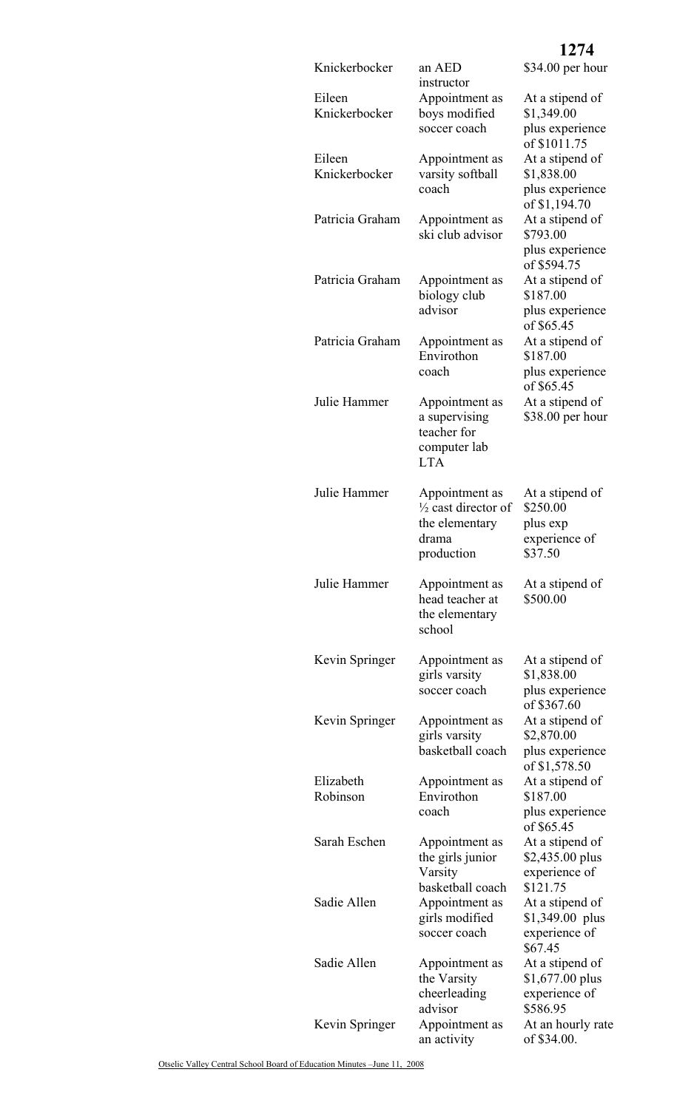## **1274**

| Knickerbocker         | an AED                             | $$34.00$ per hour                  |
|-----------------------|------------------------------------|------------------------------------|
| Eileen                | instructor<br>Appointment as       | At a stipend of                    |
| Knickerbocker         | boys modified                      | \$1,349.00                         |
|                       | soccer coach                       | plus experience                    |
| Eileen                | Appointment as                     | of \$1011.75<br>At a stipend of    |
| Knickerbocker         | varsity softball                   | \$1,838.00                         |
|                       | coach                              | plus experience<br>of \$1,194.70   |
| Patricia Graham       | Appointment as                     | At a stipend of                    |
|                       | ski club advisor                   | \$793.00<br>plus experience        |
|                       |                                    | of \$594.75                        |
| Patricia Graham       | Appointment as<br>biology club     | At a stipend of<br>\$187.00        |
|                       | advisor                            | plus experience                    |
|                       |                                    | of \$65.45                         |
| Patricia Graham       | Appointment as<br>Envirothon       | At a stipend of<br>\$187.00        |
|                       | coach                              | plus experience<br>of \$65.45      |
| Julie Hammer          | Appointment as                     | At a stipend of                    |
|                       | a supervising                      | \$38.00 per hour                   |
|                       | teacher for<br>computer lab        |                                    |
|                       | <b>LTA</b>                         |                                    |
| Julie Hammer          | Appointment as                     | At a stipend of                    |
|                       | $\frac{1}{2}$ cast director of     | \$250.00                           |
|                       | the elementary                     | plus exp                           |
|                       | drama<br>production                | experience of<br>\$37.50           |
|                       |                                    |                                    |
| Julie Hammer          | Appointment as                     | At a stipend of                    |
|                       | head teacher at<br>the elementary  | \$500.00                           |
|                       | school                             |                                    |
| Kevin Springer        | Appointment as                     | At a stipend of                    |
|                       | girls varsity                      | \$1,838.00                         |
|                       | soccer coach                       | plus experience<br>of \$367.60     |
| Kevin Springer        | Appointment as<br>girls varsity    | At a stipend of<br>\$2,870.00      |
|                       | basketball coach                   | plus experience                    |
|                       |                                    | of \$1,578.50                      |
| Elizabeth<br>Robinson | Appointment as<br>Envirothon       | At a stipend of<br>\$187.00        |
|                       | coach                              | plus experience                    |
| Sarah Eschen          |                                    | of \$65.45                         |
|                       | Appointment as<br>the girls junior | At a stipend of<br>\$2,435.00 plus |
|                       | Varsity                            | experience of                      |
| Sadie Allen           | basketball coach<br>Appointment as | \$121.75<br>At a stipend of        |
|                       | girls modified                     | \$1,349.00 plus                    |
|                       | soccer coach                       | experience of                      |
| Sadie Allen           | Appointment as                     | \$67.45<br>At a stipend of         |
|                       | the Varsity                        | $$1,677.00$ plus                   |
|                       | cheerleading                       | experience of                      |
| Kevin Springer        | advisor<br>Appointment as          | \$586.95<br>At an hourly rate      |
|                       | an activity                        | of \$34.00.                        |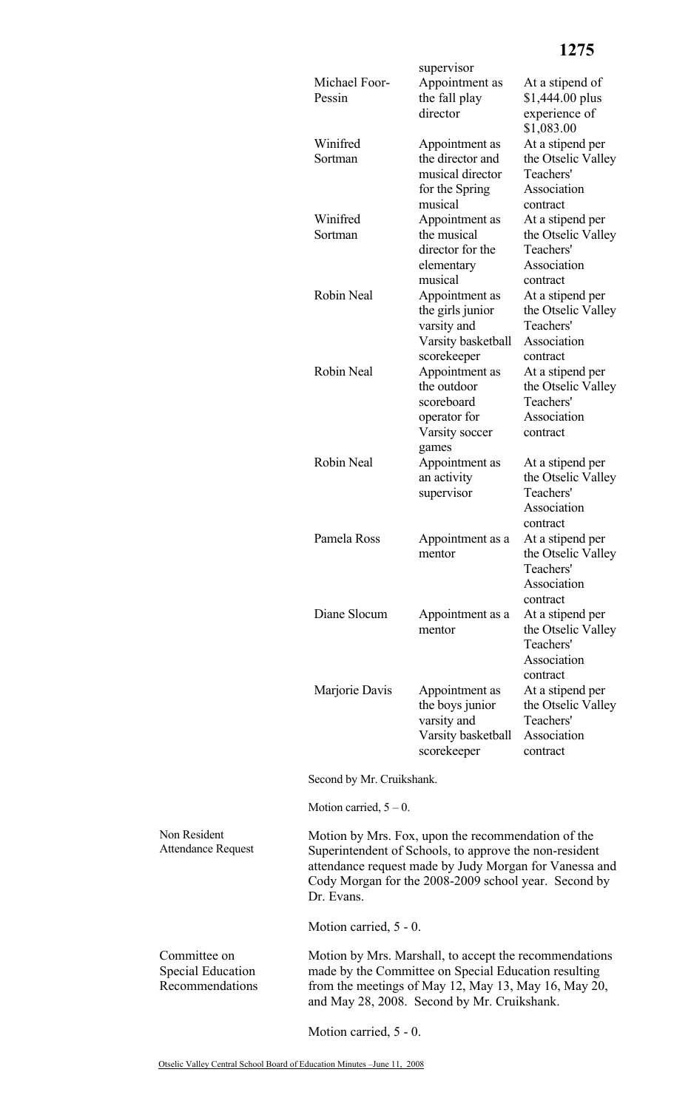|                                                             |                           | supervisor                                                                                                                                                                                                                     |                                                                                                           |
|-------------------------------------------------------------|---------------------------|--------------------------------------------------------------------------------------------------------------------------------------------------------------------------------------------------------------------------------|-----------------------------------------------------------------------------------------------------------|
|                                                             | Michael Foor-<br>Pessin   | Appointment as<br>the fall play                                                                                                                                                                                                | At a stipend of<br>\$1,444.00 plus                                                                        |
|                                                             |                           | director                                                                                                                                                                                                                       | experience of<br>\$1,083.00                                                                               |
|                                                             | Winifred<br>Sortman       | Appointment as<br>the director and<br>musical director<br>for the Spring                                                                                                                                                       | At a stipend per<br>the Otselic Valley<br>Teachers'<br>Association                                        |
|                                                             | Winifred<br>Sortman       | musical<br>Appointment as<br>the musical<br>director for the<br>elementary                                                                                                                                                     | contract<br>At a stipend per<br>the Otselic Valley<br>Teachers'<br>Association                            |
|                                                             | Robin Neal                | musical<br>Appointment as<br>the girls junior<br>varsity and                                                                                                                                                                   | contract<br>At a stipend per<br>the Otselic Valley<br>Teachers'                                           |
|                                                             | Robin Neal                | Varsity basketball<br>scorekeeper<br>Appointment as<br>the outdoor<br>scoreboard<br>operator for<br>Varsity soccer                                                                                                             | Association<br>contract<br>At a stipend per<br>the Otselic Valley<br>Teachers'<br>Association<br>contract |
|                                                             | Robin Neal                | games<br>Appointment as<br>an activity<br>supervisor                                                                                                                                                                           | At a stipend per<br>the Otselic Valley<br>Teachers'<br>Association<br>contract                            |
|                                                             | Pamela Ross               | Appointment as a<br>mentor                                                                                                                                                                                                     | At a stipend per<br>the Otselic Valley<br>Teachers'<br>Association                                        |
|                                                             | Diane Slocum              | Appointment as a<br>mentor                                                                                                                                                                                                     | contract<br>At a stipend per<br>the Otselic Valley<br>Teachers'<br>Association                            |
|                                                             | Marjorie Davis            | Appointment as<br>the boys junior<br>varsity and<br>Varsity basketball<br>scorekeeper                                                                                                                                          | contract<br>At a stipend per<br>the Otselic Valley<br>Teachers'<br>Association<br>contract                |
|                                                             | Second by Mr. Cruikshank. |                                                                                                                                                                                                                                |                                                                                                           |
|                                                             | Motion carried, $5 - 0$ . |                                                                                                                                                                                                                                |                                                                                                           |
| Non Resident<br><b>Attendance Request</b>                   | Dr. Evans.                | Motion by Mrs. Fox, upon the recommendation of the<br>Superintendent of Schools, to approve the non-resident<br>attendance request made by Judy Morgan for Vanessa and<br>Cody Morgan for the 2008-2009 school year. Second by |                                                                                                           |
|                                                             | Motion carried, 5 - 0.    |                                                                                                                                                                                                                                |                                                                                                           |
| Committee on<br><b>Special Education</b><br>Recommendations |                           | Motion by Mrs. Marshall, to accept the recommendations<br>made by the Committee on Special Education resulting<br>from the meetings of May 12, May 13, May 16, May 20,                                                         |                                                                                                           |

Motion carried, 5 - 0.

and May 28, 2008. Second by Mr. Cruikshank.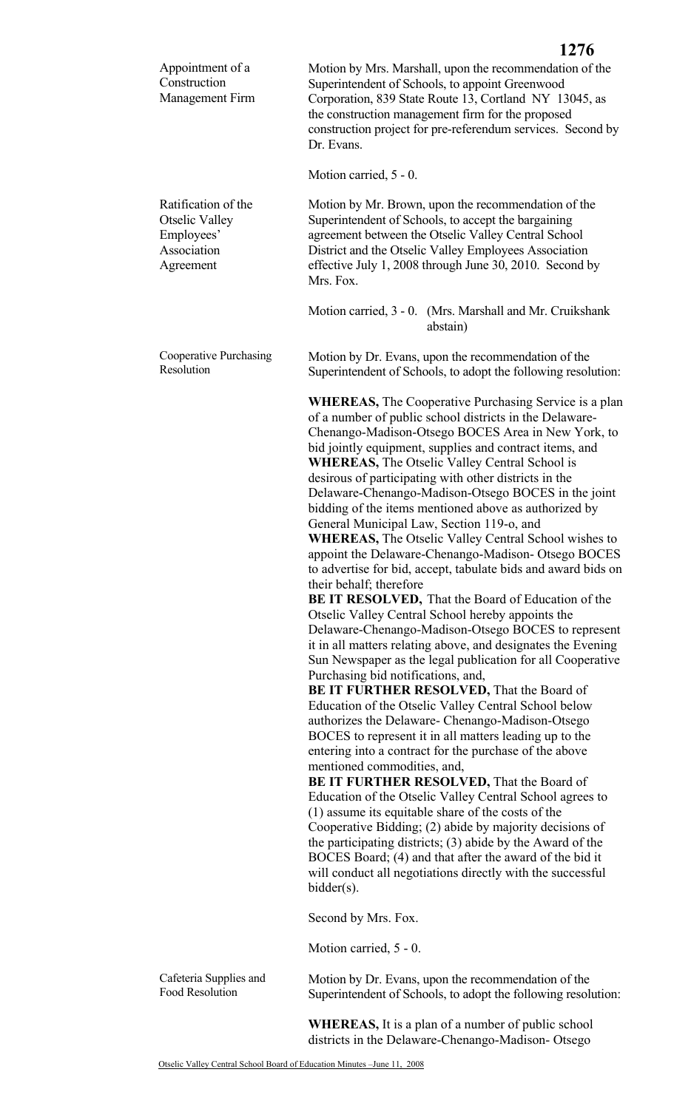| Appointment of a<br>Construction<br>Management Firm                             | Motion by Mrs. Marshall, upon the recommendation of the<br>Superintendent of Schools, to appoint Greenwood<br>Corporation, 839 State Route 13, Cortland NY 13045, as<br>the construction management firm for the proposed<br>construction project for pre-referendum services. Second by<br>Dr. Evans.<br>Motion carried, 5 - 0.                                                                                                                                                                                                                                                                                                                                                                                                                                                                                                                                                                                                                                                                                                                                                                                                                                                                                                                                                                                                                                                                                                                                                                                                                                                                                                                                                                                                                                                                                                                                       |
|---------------------------------------------------------------------------------|------------------------------------------------------------------------------------------------------------------------------------------------------------------------------------------------------------------------------------------------------------------------------------------------------------------------------------------------------------------------------------------------------------------------------------------------------------------------------------------------------------------------------------------------------------------------------------------------------------------------------------------------------------------------------------------------------------------------------------------------------------------------------------------------------------------------------------------------------------------------------------------------------------------------------------------------------------------------------------------------------------------------------------------------------------------------------------------------------------------------------------------------------------------------------------------------------------------------------------------------------------------------------------------------------------------------------------------------------------------------------------------------------------------------------------------------------------------------------------------------------------------------------------------------------------------------------------------------------------------------------------------------------------------------------------------------------------------------------------------------------------------------------------------------------------------------------------------------------------------------|
| Ratification of the<br>Otselic Valley<br>Employees'<br>Association<br>Agreement | Motion by Mr. Brown, upon the recommendation of the<br>Superintendent of Schools, to accept the bargaining<br>agreement between the Otselic Valley Central School<br>District and the Otselic Valley Employees Association<br>effective July 1, 2008 through June 30, 2010. Second by<br>Mrs. Fox.                                                                                                                                                                                                                                                                                                                                                                                                                                                                                                                                                                                                                                                                                                                                                                                                                                                                                                                                                                                                                                                                                                                                                                                                                                                                                                                                                                                                                                                                                                                                                                     |
|                                                                                 | Motion carried, 3 - 0. (Mrs. Marshall and Mr. Cruikshank<br>abstain)                                                                                                                                                                                                                                                                                                                                                                                                                                                                                                                                                                                                                                                                                                                                                                                                                                                                                                                                                                                                                                                                                                                                                                                                                                                                                                                                                                                                                                                                                                                                                                                                                                                                                                                                                                                                   |
| Cooperative Purchasing<br>Resolution                                            | Motion by Dr. Evans, upon the recommendation of the<br>Superintendent of Schools, to adopt the following resolution:                                                                                                                                                                                                                                                                                                                                                                                                                                                                                                                                                                                                                                                                                                                                                                                                                                                                                                                                                                                                                                                                                                                                                                                                                                                                                                                                                                                                                                                                                                                                                                                                                                                                                                                                                   |
|                                                                                 | <b>WHEREAS, The Cooperative Purchasing Service is a plan</b><br>of a number of public school districts in the Delaware-<br>Chenango-Madison-Otsego BOCES Area in New York, to<br>bid jointly equipment, supplies and contract items, and<br>WHEREAS, The Otselic Valley Central School is<br>desirous of participating with other districts in the<br>Delaware-Chenango-Madison-Otsego BOCES in the joint<br>bidding of the items mentioned above as authorized by<br>General Municipal Law, Section 119-o, and<br><b>WHEREAS, The Otselic Valley Central School wishes to</b><br>appoint the Delaware-Chenango-Madison-Otsego BOCES<br>to advertise for bid, accept, tabulate bids and award bids on<br>their behalf; therefore<br>BE IT RESOLVED, That the Board of Education of the<br>Otselic Valley Central School hereby appoints the<br>Delaware-Chenango-Madison-Otsego BOCES to represent<br>it in all matters relating above, and designates the Evening<br>Sun Newspaper as the legal publication for all Cooperative<br>Purchasing bid notifications, and,<br>BE IT FURTHER RESOLVED, That the Board of<br>Education of the Otselic Valley Central School below<br>authorizes the Delaware- Chenango-Madison-Otsego<br>BOCES to represent it in all matters leading up to the<br>entering into a contract for the purchase of the above<br>mentioned commodities, and,<br>BE IT FURTHER RESOLVED, That the Board of<br>Education of the Otselic Valley Central School agrees to<br>(1) assume its equitable share of the costs of the<br>Cooperative Bidding; (2) abide by majority decisions of<br>the participating districts; (3) abide by the Award of the<br>BOCES Board; (4) and that after the award of the bid it<br>will conduct all negotiations directly with the successful<br>$bidders(s)$ .<br>Second by Mrs. Fox.<br>Motion carried, 5 - 0. |
| Cafeteria Supplies and<br><b>Food Resolution</b>                                | Motion by Dr. Evans, upon the recommendation of the<br>Superintendent of Schools, to adopt the following resolution:                                                                                                                                                                                                                                                                                                                                                                                                                                                                                                                                                                                                                                                                                                                                                                                                                                                                                                                                                                                                                                                                                                                                                                                                                                                                                                                                                                                                                                                                                                                                                                                                                                                                                                                                                   |
|                                                                                 |                                                                                                                                                                                                                                                                                                                                                                                                                                                                                                                                                                                                                                                                                                                                                                                                                                                                                                                                                                                                                                                                                                                                                                                                                                                                                                                                                                                                                                                                                                                                                                                                                                                                                                                                                                                                                                                                        |

**WHEREAS,** It is a plan of a number of public school districts in the Delaware-Chenango-Madison- Otsego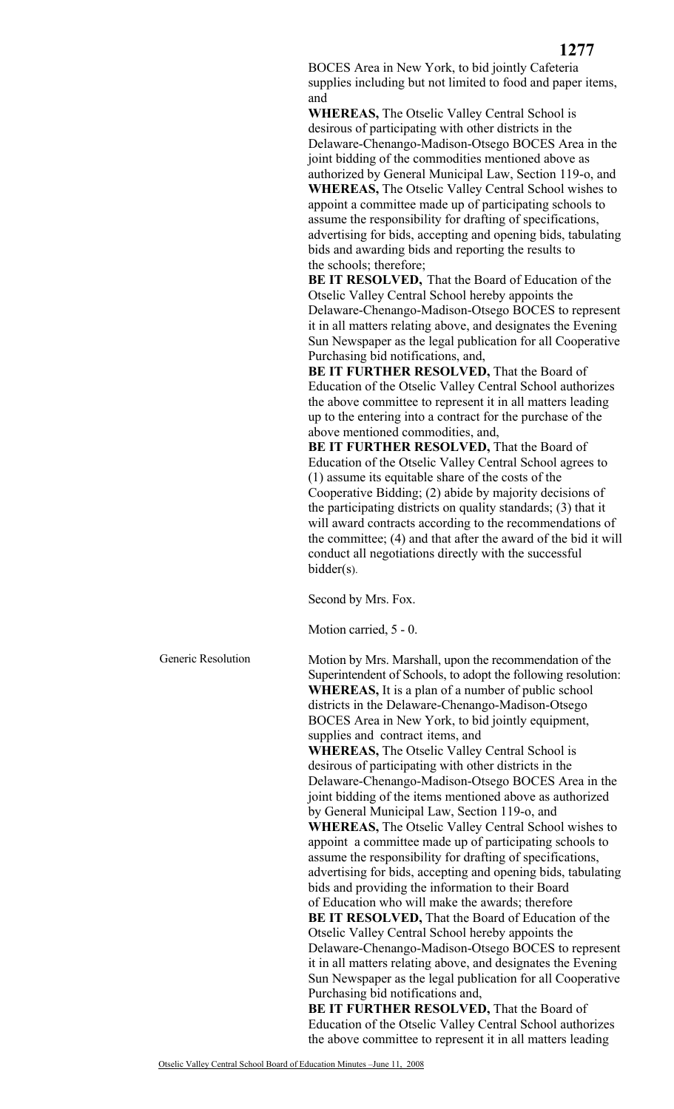BOCES Area in New York, to bid jointly Cafeteria supplies including but not limited to food and paper items, and

**WHEREAS,** The Otselic Valley Central School is desirous of participating with other districts in the Delaware-Chenango-Madison-Otsego BOCES Area in the joint bidding of the commodities mentioned above as authorized by General Municipal Law, Section 119-o, and **WHEREAS,** The Otselic Valley Central School wishes to appoint a committee made up of participating schools to assume the responsibility for drafting of specifications, advertising for bids, accepting and opening bids, tabulating bids and awarding bids and reporting the results to the schools; therefore;

**BE IT RESOLVED,** That the Board of Education of the Otselic Valley Central School hereby appoints the Delaware-Chenango-Madison-Otsego BOCES to represent it in all matters relating above, and designates the Evening Sun Newspaper as the legal publication for all Cooperative Purchasing bid notifications, and,

**BE IT FURTHER RESOLVED,** That the Board of Education of the Otselic Valley Central School authorizes the above committee to represent it in all matters leading up to the entering into a contract for the purchase of the above mentioned commodities, and,

**BE IT FURTHER RESOLVED, That the Board of** Education of the Otselic Valley Central School agrees to (1) assume its equitable share of the costs of the Cooperative Bidding; (2) abide by majority decisions of the participating districts on quality standards; (3) that it will award contracts according to the recommendations of the committee; (4) and that after the award of the bid it will conduct all negotiations directly with the successful bidder(s).

Second by Mrs. Fox.

Motion carried, 5 - 0.

Generic Resolution Motion by Mrs. Marshall, upon the recommendation of the Superintendent of Schools, to adopt the following resolution: **WHEREAS,** It is a plan of a number of public school districts in the Delaware-Chenango-Madison-Otsego BOCES Area in New York, to bid jointly equipment, supplies and contract items, and **WHEREAS,** The Otselic Valley Central School is desirous of participating with other districts in the Delaware-Chenango-Madison-Otsego BOCES Area in the joint bidding of the items mentioned above as authorized by General Municipal Law, Section 119-o, and **WHEREAS,** The Otselic Valley Central School wishes to appoint a committee made up of participating schools to assume the responsibility for drafting of specifications, advertising for bids, accepting and opening bids, tabulating bids and providing the information to their Board of Education who will make the awards; therefore **BE IT RESOLVED,** That the Board of Education of the Otselic Valley Central School hereby appoints the Delaware-Chenango-Madison-Otsego BOCES to represent it in all matters relating above, and designates the Evening Sun Newspaper as the legal publication for all Cooperative Purchasing bid notifications and, **BE IT FURTHER RESOLVED, That the Board of** Education of the Otselic Valley Central School authorizes

the above committee to represent it in all matters leading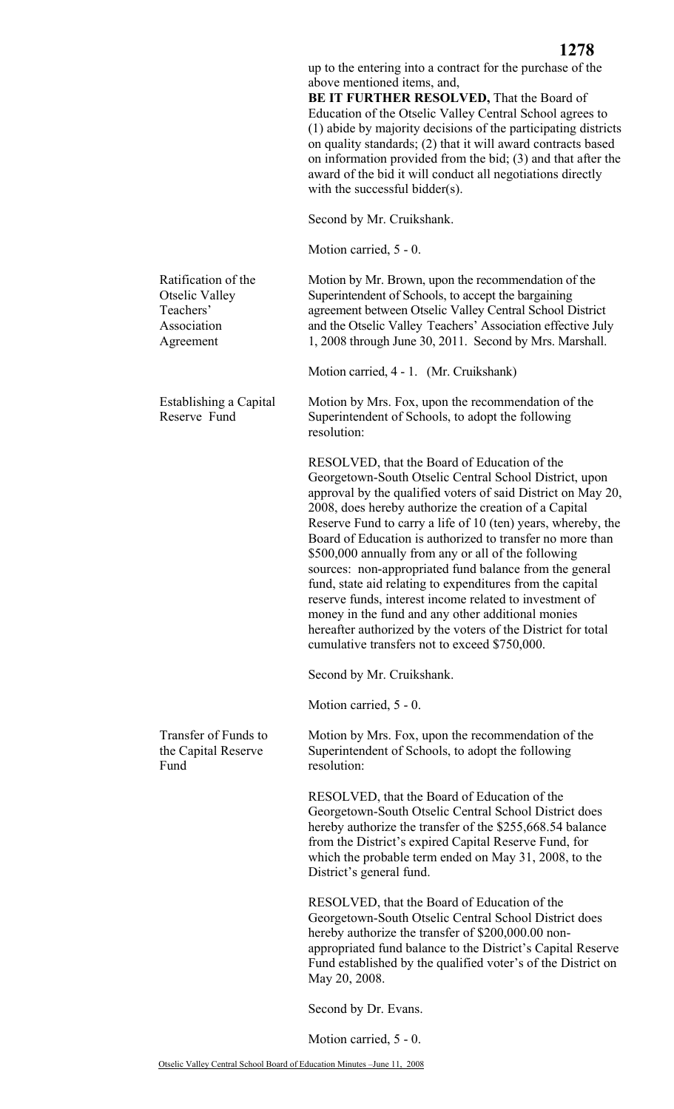**1278** up to the entering into a contract for the purchase of the above mentioned items, and, **BE IT FURTHER RESOLVED,** That the Board of Education of the Otselic Valley Central School agrees to (1) abide by majority decisions of the participating districts on quality standards; (2) that it will award contracts based on information provided from the bid; (3) and that after the award of the bid it will conduct all negotiations directly with the successful bidder(s). Second by Mr. Cruikshank. Motion carried, 5 - 0. Ratification of the Otselic Valley Teachers' Association Agreement Motion by Mr. Brown, upon the recommendation of the Superintendent of Schools, to accept the bargaining agreement between Otselic Valley Central School District and the Otselic Valley Teachers' Association effective July 1, 2008 through June 30, 2011. Second by Mrs. Marshall. Motion carried, 4 - 1. (Mr. Cruikshank) Establishing a Capital Reserve Fund Motion by Mrs. Fox, upon the recommendation of the Superintendent of Schools, to adopt the following resolution: RESOLVED, that the Board of Education of the Georgetown-South Otselic Central School District, upon approval by the qualified voters of said District on May 20, 2008, does hereby authorize the creation of a Capital Reserve Fund to carry a life of 10 (ten) years, whereby, the Board of Education is authorized to transfer no more than \$500,000 annually from any or all of the following sources: non-appropriated fund balance from the general fund, state aid relating to expenditures from the capital reserve funds, interest income related to investment of money in the fund and any other additional monies hereafter authorized by the voters of the District for total cumulative transfers not to exceed \$750,000. Second by Mr. Cruikshank. Motion carried, 5 - 0. Transfer of Funds to the Capital Reserve Fund Motion by Mrs. Fox, upon the recommendation of the Superintendent of Schools, to adopt the following resolution: RESOLVED, that the Board of Education of the Georgetown-South Otselic Central School District does hereby authorize the transfer of the \$255,668.54 balance from the District's expired Capital Reserve Fund, for which the probable term ended on May 31, 2008, to the District's general fund. RESOLVED, that the Board of Education of the Georgetown-South Otselic Central School District does hereby authorize the transfer of \$200,000.00 nonappropriated fund balance to the District's Capital Reserve Fund established by the qualified voter's of the District on May 20, 2008. Second by Dr. Evans. Motion carried, 5 - 0.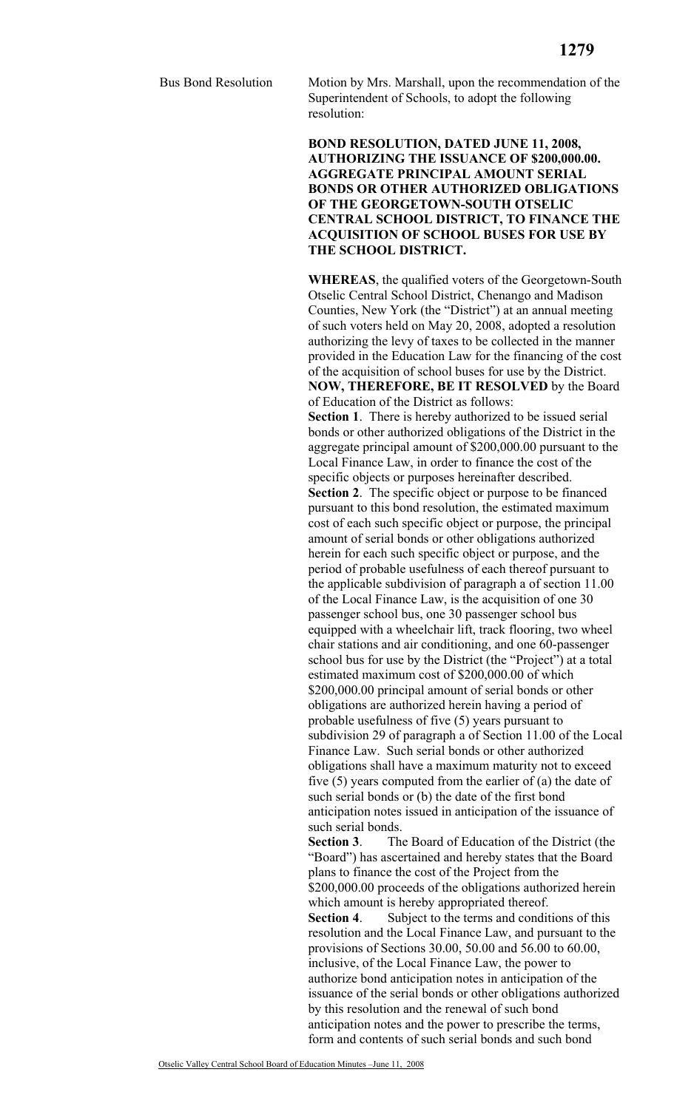Bus Bond Resolution Motion by Mrs. Marshall, upon the recommendation of the Superintendent of Schools, to adopt the following resolution:

> **BOND RESOLUTION, DATED JUNE 11, 2008, AUTHORIZING THE ISSUANCE OF \$200,000.00. AGGREGATE PRINCIPAL AMOUNT SERIAL BONDS OR OTHER AUTHORIZED OBLIGATIONS OF THE GEORGETOWN-SOUTH OTSELIC CENTRAL SCHOOL DISTRICT, TO FINANCE THE ACQUISITION OF SCHOOL BUSES FOR USE BY THE SCHOOL DISTRICT.**

> **WHEREAS**, the qualified voters of the Georgetown-South Otselic Central School District, Chenango and Madison Counties, New York (the "District") at an annual meeting of such voters held on May 20, 2008, adopted a resolution authorizing the levy of taxes to be collected in the manner provided in the Education Law for the financing of the cost of the acquisition of school buses for use by the District. **NOW, THEREFORE, BE IT RESOLVED** by the Board of Education of the District as follows: **Section 1**. There is hereby authorized to be issued serial bonds or other authorized obligations of the District in the aggregate principal amount of \$200,000.00 pursuant to the Local Finance Law, in order to finance the cost of the specific objects or purposes hereinafter described. **Section 2**. The specific object or purpose to be financed pursuant to this bond resolution, the estimated maximum cost of each such specific object or purpose, the principal amount of serial bonds or other obligations authorized herein for each such specific object or purpose, and the period of probable usefulness of each thereof pursuant to the applicable subdivision of paragraph a of section 11.00 of the Local Finance Law, is the acquisition of one 30 passenger school bus, one 30 passenger school bus equipped with a wheelchair lift, track flooring, two wheel chair stations and air conditioning, and one 60-passenger school bus for use by the District (the "Project") at a total estimated maximum cost of \$200,000.00 of which \$200,000.00 principal amount of serial bonds or other obligations are authorized herein having a period of probable usefulness of five (5) years pursuant to subdivision 29 of paragraph a of Section 11.00 of the Local Finance Law. Such serial bonds or other authorized obligations shall have a maximum maturity not to exceed five (5) years computed from the earlier of (a) the date of such serial bonds or (b) the date of the first bond anticipation notes issued in anticipation of the issuance of such serial bonds.

**Section 3**. The Board of Education of the District (the "Board") has ascertained and hereby states that the Board plans to finance the cost of the Project from the \$200,000.00 proceeds of the obligations authorized herein which amount is hereby appropriated thereof. **Section 4.** Subject to the terms and conditions of this resolution and the Local Finance Law, and pursuant to the provisions of Sections 30.00, 50.00 and 56.00 to 60.00, inclusive, of the Local Finance Law, the power to authorize bond anticipation notes in anticipation of the issuance of the serial bonds or other obligations authorized by this resolution and the renewal of such bond anticipation notes and the power to prescribe the terms, form and contents of such serial bonds and such bond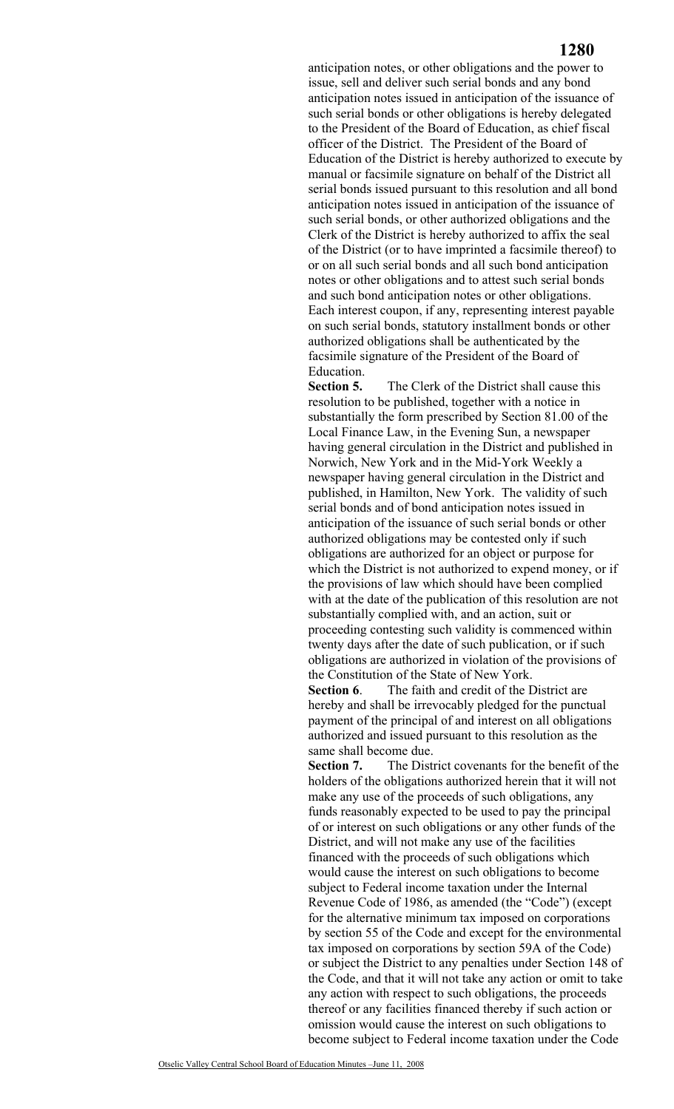### **1280**

anticipation notes, or other obligations and the power to issue, sell and deliver such serial bonds and any bond anticipation notes issued in anticipation of the issuance of such serial bonds or other obligations is hereby delegated to the President of the Board of Education, as chief fiscal officer of the District. The President of the Board of Education of the District is hereby authorized to execute by manual or facsimile signature on behalf of the District all serial bonds issued pursuant to this resolution and all bond anticipation notes issued in anticipation of the issuance of such serial bonds, or other authorized obligations and the Clerk of the District is hereby authorized to affix the seal of the District (or to have imprinted a facsimile thereof) to or on all such serial bonds and all such bond anticipation notes or other obligations and to attest such serial bonds and such bond anticipation notes or other obligations. Each interest coupon, if any, representing interest payable on such serial bonds, statutory installment bonds or other authorized obligations shall be authenticated by the facsimile signature of the President of the Board of Education.

**Section 5.** The Clerk of the District shall cause this resolution to be published, together with a notice in substantially the form prescribed by Section 81.00 of the Local Finance Law, in the Evening Sun, a newspaper having general circulation in the District and published in Norwich, New York and in the Mid-York Weekly a newspaper having general circulation in the District and published, in Hamilton, New York. The validity of such serial bonds and of bond anticipation notes issued in anticipation of the issuance of such serial bonds or other authorized obligations may be contested only if such obligations are authorized for an object or purpose for which the District is not authorized to expend money, or if the provisions of law which should have been complied with at the date of the publication of this resolution are not substantially complied with, and an action, suit or proceeding contesting such validity is commenced within twenty days after the date of such publication, or if such obligations are authorized in violation of the provisions of the Constitution of the State of New York.

**Section 6**. The faith and credit of the District are hereby and shall be irrevocably pledged for the punctual payment of the principal of and interest on all obligations authorized and issued pursuant to this resolution as the same shall become due.

**Section 7.** The District covenants for the benefit of the holders of the obligations authorized herein that it will not make any use of the proceeds of such obligations, any funds reasonably expected to be used to pay the principal of or interest on such obligations or any other funds of the District, and will not make any use of the facilities financed with the proceeds of such obligations which would cause the interest on such obligations to become subject to Federal income taxation under the Internal Revenue Code of 1986, as amended (the "Code") (except for the alternative minimum tax imposed on corporations by section 55 of the Code and except for the environmental tax imposed on corporations by section 59A of the Code) or subject the District to any penalties under Section 148 of the Code, and that it will not take any action or omit to take any action with respect to such obligations, the proceeds thereof or any facilities financed thereby if such action or omission would cause the interest on such obligations to become subject to Federal income taxation under the Code